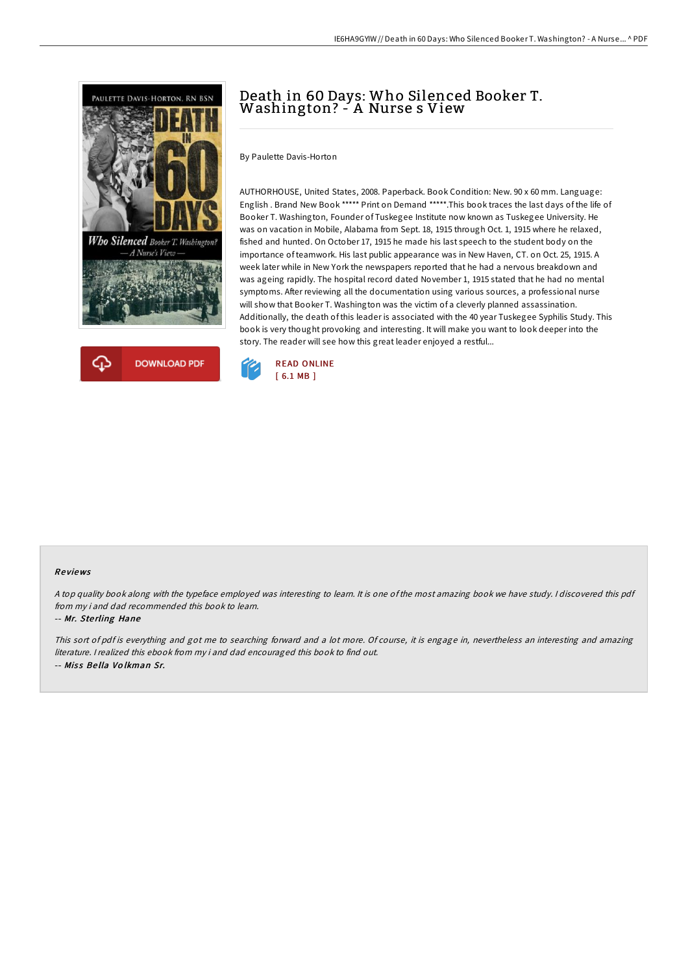



# Death in <sup>60</sup> Days: Who Silenced Booker T. Washington? - <sup>A</sup> Nurse <sup>s</sup> View

By Paulette Davis-Horton

AUTHORHOUSE, United States, 2008. Paperback. Book Condition: New. 90 x 60 mm. Language: English . Brand New Book \*\*\*\*\* Print on Demand \*\*\*\*\*.This book traces the last days of the life of Booker T. Washington, Founder of Tuskegee Institute now known as Tuskegee University. He was on vacation in Mobile, Alabama from Sept. 18, 1915 through Oct. 1, 1915 where he relaxed, fished and hunted. On October 17, 1915 he made his last speech to the student body on the importance of teamwork. His last public appearance was in New Haven, CT. on Oct. 25, 1915. A week later while in New York the newspapers reported that he had a nervous breakdown and was ageing rapidly. The hospital record dated November 1, 1915 stated that he had no mental symptoms. After reviewing all the documentation using various sources, a professional nurse will show that Booker T. Washington was the victim of a cleverly planned assassination. Additionally, the death of this leader is associated with the 40 year Tuskegee Syphilis Study. This book is very thought provoking and interesting. It will make you want to look deeper into the story. The reader will see how this great leader enjoyed a restful...



#### Re views

<sup>A</sup> top quality book along with the typeface employed was interesting to learn. It is one of the most amazing book we have study. <sup>I</sup> discovered this pdf from my i and dad recommended this book to learn.

#### -- Mr. Ste rling Hane

This sort of pdf is everything and got me to searching forward and <sup>a</sup> lot more. Of course, it is engage in, nevertheless an interesting and amazing literature. <sup>I</sup> realized this ebook from my i and dad encouraged this book to find out. -- Miss Bella Volkman Sr.